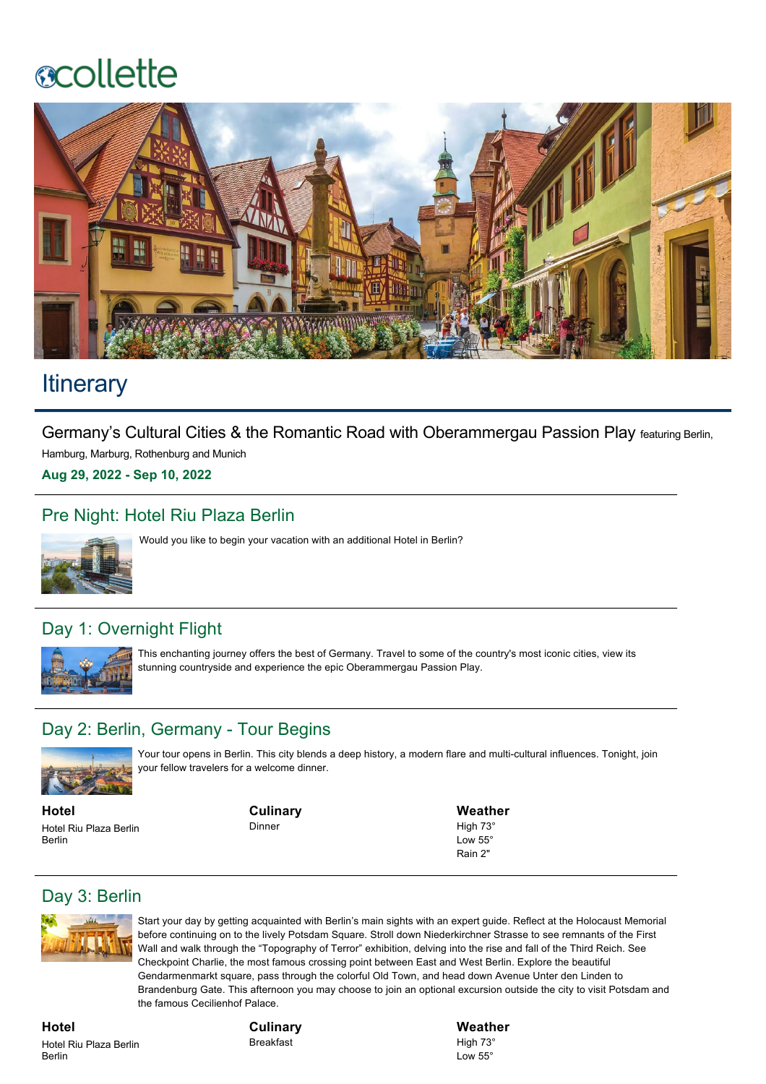# **ecollette**



## **Itinerary**

Germany's Cultural Cities & the Romantic Road with Oberammergau Passion Play featuring Berlin,

Hamburg, Marburg, Rothenburg and Munich

**Aug 29, 2022 Sep 10, 2022**

#### Pre Night: Hotel Riu Plaza Berlin



Would you like to begin your vacation with an additional Hotel in Berlin?

### Day 1: Overnight Flight



This enchanting journey offers the best of Germany. Travel to some of the country's most iconic cities, view its stunning countryside and experience the epic Oberammergau Passion Play.

#### Day 2: Berlin, Germany - Tour Begins



Your tour opens in Berlin. This city blends a deep history, a modern flare and multi-cultural influences. Tonight, join your fellow travelers for a welcome dinner.

**Hotel** Hotel Riu Plaza Berlin Berlin

**Culinary** Dinner

**Weather** High 73° Low  $55^\circ$ 

Rain 2"

### Day 3: Berlin



Start your day by getting acquainted with Berlin's main sights with an expert guide. Reflect at the Holocaust Memorial before continuing on to the lively Potsdam Square. Stroll down Niederkirchner Strasse to see remnants of the First Wall and walk through the "Topography of Terror" exhibition, delving into the rise and fall of the Third Reich. See Checkpoint Charlie, the most famous crossing point between East and West Berlin. Explore the beautiful Gendarmenmarkt square, pass through the colorful Old Town, and head down Avenue Unter den Linden to Brandenburg Gate. This afternoon you may choose to join an optional excursion outside the city to visit Potsdam and the famous Cecilienhof Palace.

**Hotel** Hotel Riu Plaza Berlin Berlin

**Culinary** Breakfast

**Weather** High 73° Low 55°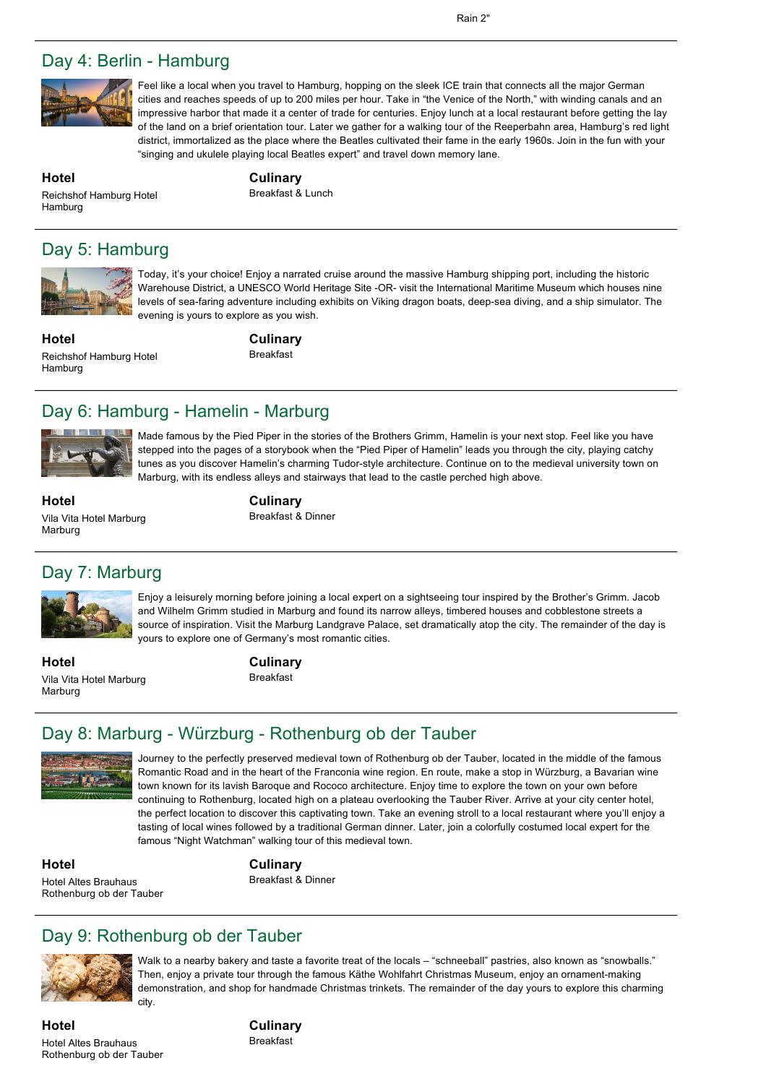#### Day 4: Berlin - Hamburg



Feel like a local when you travel to Hamburg, hopping on the sleek ICE train that connects all the major German cities and reaches speeds of up to 200 miles per hour. Take in "the Venice of the North," with winding canals and an impressive harbor that made it a center of trade for centuries. Enjoy lunch at a local restaurant before getting the lay of the land on a brief orientation tour. Later we gather for a walking tour of the Reeperbahn area, Hamburg's red light district, immortalized as the place where the Beatles cultivated their fame in the early 1960s. Join in the fun with your "singing and ukulele playing local Beatles expert" and travel down memory lane.

**Hotel**

Hamburg

**Culinary** Breakfast & Lunch

## Day 5: Hamburg

Reichshof Hamburg Hotel



Today, it's your choice! Enjoy a narrated cruise around the massive Hamburg shipping port, including the historic Warehouse District, a UNESCO World Heritage Site -OR- visit the International Maritime Museum which houses nine levels of sea-faring adventure including exhibits on Viking dragon boats, deep-sea diving, and a ship simulator. The evening is yours to explore as you wish.

**Hotel** Reichshof Hamburg Hotel Hamburg

**Culinary** Breakfast

#### Day 6: Hamburg - Hamelin - Marburg



Made famous by the Pied Piper in the stories of the Brothers Grimm, Hamelin is your next stop. Feel like you have stepped into the pages of a storybook when the "Pied Piper of Hamelin" leads you through the city, playing catchy tunes as you discover Hamelin's charming Tudor-style architecture. Continue on to the medieval university town on Marburg, with its endless alleys and stairways that lead to the castle perched high above.

**Hotel** Vila Vita Hotel Marburg Marburg

#### **Culinary** Breakfast & Dinner

### Day 7: Marburg



Enjoy a leisurely morning before joining a local expert on a sightseeing tour inspired by the Brother's Grimm. Jacob and Wilhelm Grimm studied in Marburg and found its narrow alleys, timbered houses and cobblestone streets a source of inspiration. Visit the Marburg Landgrave Palace, set dramatically atop the city. The remainder of the day is yours to explore one of Germany's most romantic cities.

**Hotel** Vila Vita Hotel Marburg Marburg

**Culinary**

Breakfast

### Day 8: Marburg - Würzburg - Rothenburg ob der Tauber



Journey to the perfectly preserved medieval town of Rothenburg ob der Tauber, located in the middle of the famous Romantic Road and in the heart of the Franconia wine region. En route, make a stop in Würzburg, a Bavarian wine town known for its lavish Baroque and Rococo architecture. Enjoy time to explore the town on your own before continuing to Rothenburg, located high on a plateau overlooking the Tauber River. Arrive at your city center hotel, the perfect location to discover this captivating town. Take an evening stroll to a local restaurant where you'll enjoy a tasting of local wines followed by a traditional German dinner. Later, join a colorfully costumed local expert for the famous "Night Watchman" walking tour of this medieval town.

**Hotel** Hotel Altes Brauhaus Rothenburg ob der Tauber **Culinary** Breakfast & Dinner

Day 9: Rothenburg ob der Tauber



Walk to a nearby bakery and taste a favorite treat of the locals – "schneeball" pastries, also known as "snowballs." Then, enjoy a private tour through the famous Käthe Wohlfahrt Christmas Museum, enjoy an ornament-making demonstration, and shop for handmade Christmas trinkets. The remainder of the day yours to explore this charming

**Hotel** Hotel Altes Brauhaus Rothenburg ob der Tauber **Culinary** Breakfast